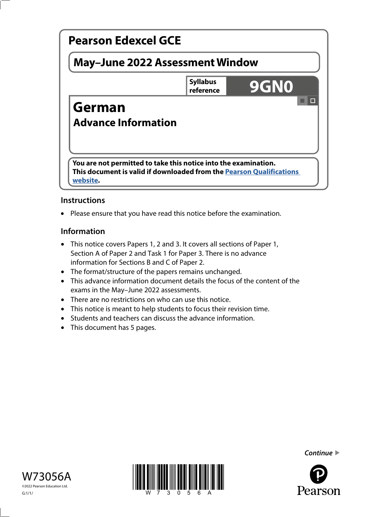

# **Instructions**

• Please ensure that you have read this notice before the examination.

### **Information**

- This notice covers Papers 1, 2 and 3. It covers all sections of Paper 1, Section A of Paper 2 and Task 1 for Paper 3. There is no advance information for Sections B and C of Paper 2.
- The format/structure of the papers remains unchanged.
- This advance information document details the focus of the content of the exams in the May–June 2022 assessments.
- There are no restrictions on who can use this notice.
- This notice is meant to help students to focus their revision time.
- Students and teachers can discuss the advance information.
- This document has 5 pages.





*Continue* 

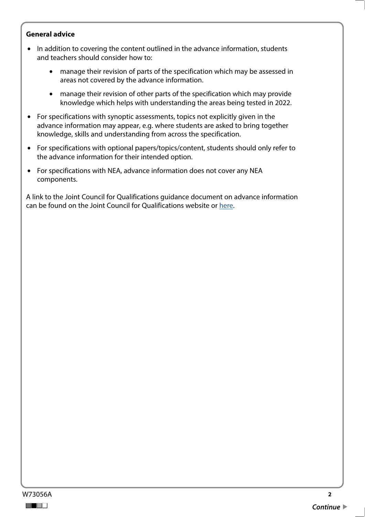#### **General advice**

- In addition to covering the content outlined in the advance information, students and teachers should consider how to:
	- manage their revision of parts of the specification which may be assessed in areas not covered by the advance information.
	- manage their revision of other parts of the specification which may provide knowledge which helps with understanding the areas being tested in 2022.
- For specifications with synoptic assessments, topics not explicitly given in the advance information may appear, e.g. where students are asked to bring together knowledge, skills and understanding from across the specification.
- For specifications with optional papers/topics/content, students should only refer to the advance information for their intended option.
- For specifications with NEA, advance information does not cover any NEA components.

A link to the Joint Council for Qualifications guidance document on advance information can be found on the Joint Council for Qualifications website or [here](https://www.jcq.org.uk/wp-content/uploads/2021/10/Advance-Information-for-General-Qualifications-2021-22.pdf).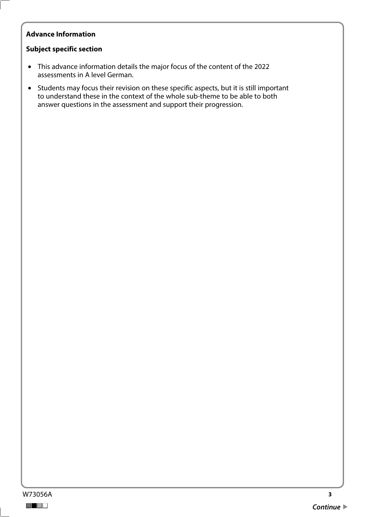## **Advance Information**

#### **Subject specific section**

- This advance information details the major focus of the content of the 2022 assessments in A level German.
- Students may focus their revision on these specific aspects, but it is still important to understand these in the context of the whole sub-theme to be able to both answer questions in the assessment and support their progression.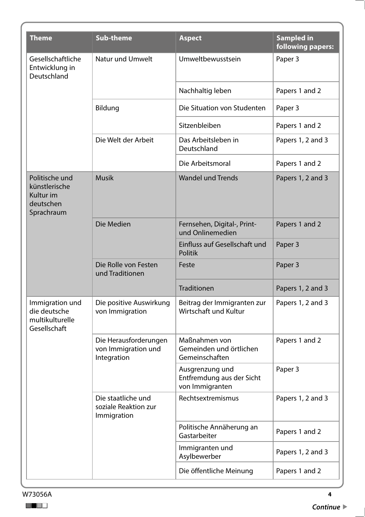| <b>Theme</b>                                                            | <b>Sub-theme</b>                                            | <b>Aspect</b>                                                   | <b>Sampled in</b><br>following papers: |
|-------------------------------------------------------------------------|-------------------------------------------------------------|-----------------------------------------------------------------|----------------------------------------|
| Gesellschaftliche<br>Entwicklung in<br>Deutschland                      | Natur und Umwelt                                            | Umweltbewusstsein                                               | Paper 3                                |
|                                                                         |                                                             | Nachhaltig leben                                                | Papers 1 and 2                         |
|                                                                         | Bildung                                                     | Die Situation von Studenten                                     | Paper 3                                |
|                                                                         |                                                             | Sitzenbleiben                                                   | Papers 1 and 2                         |
|                                                                         | Die Welt der Arbeit                                         | Das Arbeitsleben in<br>Deutschland                              | Papers 1, 2 and 3                      |
|                                                                         |                                                             | Die Arbeitsmoral                                                | Papers 1 and 2                         |
| Politische und<br>künstlerische<br>Kultur im<br>deutschen<br>Sprachraum | <b>Musik</b>                                                | <b>Wandel und Trends</b>                                        | Papers 1, 2 and 3                      |
|                                                                         | Die Medien                                                  | Fernsehen, Digital-, Print-<br>und Onlinemedien                 | Papers 1 and 2                         |
|                                                                         |                                                             | Einfluss auf Gesellschaft und<br><b>Politik</b>                 | Paper 3                                |
|                                                                         | Die Rolle von Festen<br>und Traditionen                     | Feste                                                           | Paper 3                                |
|                                                                         |                                                             | Traditionen                                                     | Papers 1, 2 and 3                      |
| Immigration und<br>die deutsche<br>multikulturelle<br>Gesellschaft      | Die positive Auswirkung<br>von Immigration                  | Beitrag der Immigranten zur<br>Wirtschaft und Kultur            | Papers 1, 2 and 3                      |
|                                                                         | Die Herausforderungen<br>von Immigration und<br>Integration | Maßnahmen von<br>Gemeinden und örtlichen<br>Gemeinschaften      | Papers 1 and 2                         |
|                                                                         |                                                             | Ausgrenzung und<br>Entfremdung aus der Sicht<br>von Immigranten | Paper 3                                |
|                                                                         | Die staatliche und<br>soziale Reaktion zur<br>Immigration   | Rechtsextremismus                                               | Papers 1, 2 and 3                      |
|                                                                         |                                                             | Politische Annäherung an<br>Gastarbeiter                        | Papers 1 and 2                         |
|                                                                         |                                                             | Immigranten und<br>Asylbewerber                                 | Papers 1, 2 and 3                      |
|                                                                         |                                                             | Die öffentliche Meinung                                         | Papers 1 and 2                         |